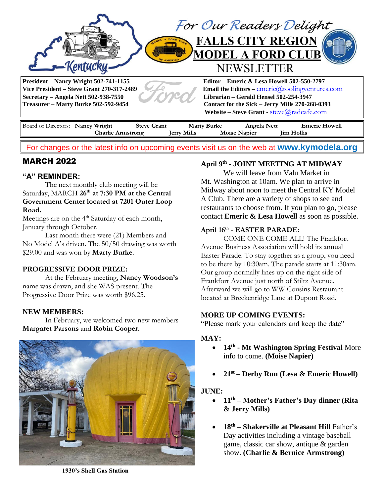

For changes or the latest info on upcoming events visit us on the web at **[www.kymodela.org](http://www.kymodela.org/)**

# MARCH 2022

## **"A" REMINDER:**

The next monthly club meeting will be Saturday, MARCH **26th at 7:30 PM at the Central Government Center located at 7201 Outer Loop Road.**

Meetings are on the 4<sup>th</sup> Saturday of each month, January through October.

Last month there were (21) Members and No Model A's driven. The 50/50 drawing was worth \$29.00 and was won by **Marty Burke**.

### **PROGRESSIVE DOOR PRIZE:**

At the February meeting, **Nancy Woodson's**  name was drawn, and she WAS present. The Progressive Door Prize was worth \$96.25.

### **NEW MEMBERS:**

In February, we welcomed two new members **Margaret Parsons** and **Robin Cooper.** 



1930's Shell Gas Station

## **April 9 th - JOINT MEETING AT MIDWAY**

We will leave from Valu Market in Mt. Washington at 10am. We plan to arrive in Midway about noon to meet the Central KY Model A Club. There are a variety of shops to see and restaurants to choose from. If you plan to go, please contact **Emeric & Lesa Howell** as soon as possible.

### **April 16th** - **EASTER PARADE:**

COME ONE COME ALL! The Frankfort Avenue Business Association will hold its annual Easter Parade. To stay together as a group, you need to be there by 10:30am. The parade starts at 11:30am. Our group normally lines up on the right side of Frankfort Avenue just north of Stiltz Avenue. Afterward we will go to WW Cousins Restaurant located at Breckenridge Lane at Dupont Road.

#### **MORE UP COMING EVENTS:**

"Please mark your calendars and keep the date"

#### **MAY:**

- **14th - Mt Washington Spring Festival** More info to come. **(Moise Napier)**
- **21st – Derby Run (Lesa & Emeric Howell)**

### **JUNE:**

- **11th – Mother's Father's Day dinner (Rita & Jerry Mills)**
- **18th – Shakerville at Pleasant Hill** Father's Day activities including a vintage baseball game, classic car show, antique & garden show. **(Charlie & Bernice Armstrong)**